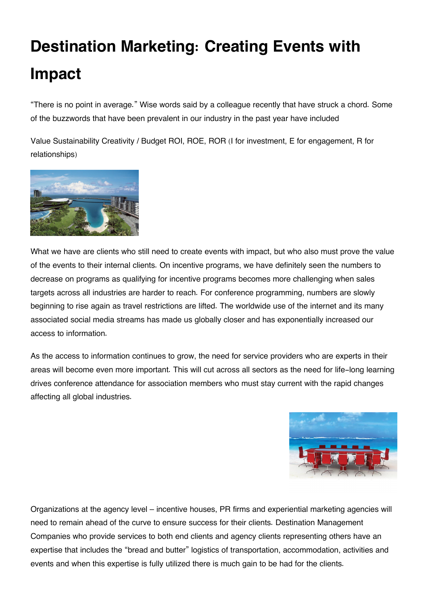## **Destination Marketing: Creating Events with Impact**

"There is no point in average." Wise words said by a colleague recently that have struck a chord. Some of the buzzwords that have been prevalent in our industry in the past year have included

Value Sustainability Creativity / Budget ROI, ROE, ROR (I for investment, E for engagement, R for relationships)



What we have are clients who still need to create events with impact, but who also must prove the value of the events to their internal clients. On incentive programs, we have definitely seen the numbers to decrease on programs as qualifying for incentive programs becomes more challenging when sales targets across all industries are harder to reach. For conference programming, numbers are slowly beginning to rise again as travel restrictions are lifted. The worldwide use of the internet and its many associated social media streams has made us globally closer and has exponentially increased our access to information.

As the access to information continues to grow, the need for service providers who are experts in their areas will become even more important. This will cut across all sectors as the need for life-long learning drives conference attendance for association members who must stay current with the rapid changes affecting all global industries.



Organizations at the agency level – incentive houses, PR firms and experiential marketing agencies will need to remain ahead of the curve to ensure success for their clients. Destination Management Companies who provide services to both end clients and agency clients representing others have an expertise that includes the "bread and butter" logistics of transportation, accommodation, activities and events and when this expertise is fully utilized there is much gain to be had for the clients.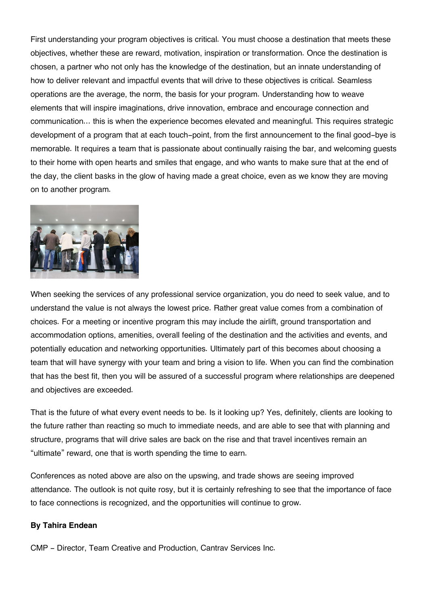First understanding your program objectives is critical. You must choose a destination that meets these objectives, whether these are reward, motivation, inspiration or transformation. Once the destination is chosen, a partner who not only has the knowledge of the destination, but an innate understanding of how to deliver relevant and impactful events that will drive to these objectives is critical. Seamless operations are the average, the norm, the basis for your program. Understanding how to weave elements that will inspire imaginations, drive innovation, embrace and encourage connection and communication… this is when the experience becomes elevated and meaningful. This requires strategic development of a program that at each touch-point, from the first announcement to the final good-bye is memorable. It requires a team that is passionate about continually raising the bar, and welcoming guests to their home with open hearts and smiles that engage, and who wants to make sure that at the end of the day, the client basks in the glow of having made a great choice, even as we know they are moving on to another program.



When seeking the services of any professional service organization, you do need to seek value, and to understand the value is not always the lowest price. Rather great value comes from a combination of choices. For a meeting or incentive program this may include the airlift, ground transportation and accommodation options, amenities, overall feeling of the destination and the activities and events, and potentially education and networking opportunities. Ultimately part of this becomes about choosing a team that will have synergy with your team and bring a vision to life. When you can find the combination that has the best fit, then you will be assured of a successful program where relationships are deepened and objectives are exceeded.

That is the future of what every event needs to be. Is it looking up? Yes, definitely, clients are looking to the future rather than reacting so much to immediate needs, and are able to see that with planning and structure, programs that will drive sales are back on the rise and that travel incentives remain an "ultimate" reward, one that is worth spending the time to earn.

Conferences as noted above are also on the upswing, and trade shows are seeing improved attendance. The outlook is not quite rosy, but it is certainly refreshing to see that the importance of face to face connections is recognized, and the opportunities will continue to grow.

## **By Tahira Endean**

CMP - Director, Team Creative and Production, Cantrav Services Inc.